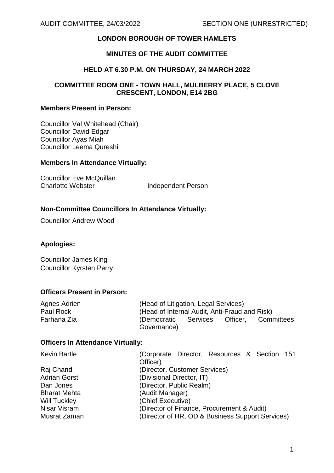# **LONDON BOROUGH OF TOWER HAMLETS**

# **MINUTES OF THE AUDIT COMMITTEE**

#### **HELD AT 6.30 P.M. ON THURSDAY, 24 MARCH 2022**

#### **COMMITTEE ROOM ONE - TOWN HALL, MULBERRY PLACE, 5 CLOVE CRESCENT, LONDON, E14 2BG**

#### **Members Present in Person:**

Councillor Val Whitehead (Chair) Councillor David Edgar Councillor Ayas Miah Councillor Leema Qureshi

#### **Members In Attendance Virtually:**

Councillor Eve McQuillan Charlotte Webster **Independent Person** 

### **Non-Committee Councillors In Attendance Virtually:**

Councillor Andrew Wood

### **Apologies:**

Councillor James King Councillor Kyrsten Perry

### **Officers Present in Person:**

| (Democratic |             | Officer. | Committees,                                                                           |
|-------------|-------------|----------|---------------------------------------------------------------------------------------|
|             | Governance) | Services | (Head of Litigation, Legal Services)<br>(Head of Internal Audit, Anti-Fraud and Risk) |

#### **Officers In Attendance Virtually:**

| <b>Kevin Bartle</b> | (Corporate Director, Resources & Section 151     |  |
|---------------------|--------------------------------------------------|--|
|                     | Officer)                                         |  |
| Raj Chand           | (Director, Customer Services)                    |  |
| <b>Adrian Gorst</b> | (Divisional Director, IT)                        |  |
| Dan Jones           | (Director, Public Realm)                         |  |
| <b>Bharat Mehta</b> | (Audit Manager)                                  |  |
| Will Tuckley        | (Chief Executive)                                |  |
| Nisar Visram        | (Director of Finance, Procurement & Audit)       |  |
| Musrat Zaman        | (Director of HR, OD & Business Support Services) |  |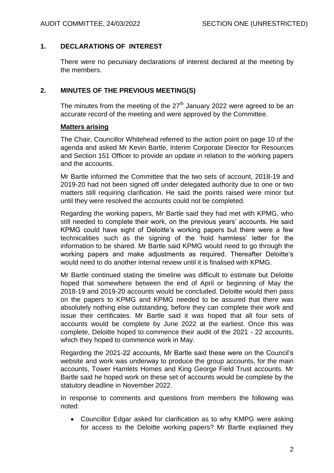## **1. DECLARATIONS OF INTEREST**

There were no pecuniary declarations of interest declared at the meeting by the members.

## **2. MINUTES OF THE PREVIOUS MEETING(S)**

The minutes from the meeting of the  $27<sup>th</sup>$  January 2022 were agreed to be an accurate record of the meeting and were approved by the Committee.

#### **Matters arising**

The Chair, Councillor Whitehead referred to the action point on page 10 of the agenda and asked Mr Kevin Bartle, Interim Corporate Director for Resources and Section 151 Officer to provide an update in relation to the working papers and the accounts.

Mr Bartle informed the Committee that the two sets of account, 2018-19 and 2019-20 had not been signed off under delegated authority due to one or two matters still requiring clarification. He said the points raised were minor but until they were resolved the accounts could not be completed.

Regarding the working papers, Mr Bartle said they had met with KPMG, who still needed to complete their work, on the previous years' accounts. He said KPMG could have sight of Deloitte's working papers but there were a few technicalities such as the signing of the 'hold harmless' letter for the information to be shared. Mr Bartle said KPMG would need to go through the working papers and make adjustments as required. Thereafter Deloitte's would need to do another internal review until it is finalised with KPMG.

Mr Bartle continued stating the timeline was difficult to estimate but Deloitte hoped that somewhere between the end of April or beginning of May the 2018-19 and 2019-20 accounts would be concluded. Deloitte would then pass on the papers to KPMG and KPMG needed to be assured that there was absolutely nothing else outstanding, before they can complete their work and issue their certificates. Mr Bartle said it was hoped that all four sets of accounts would be complete by June 2022 at the earliest. Once this was complete, Deloitte hoped to commence their audit of the 2021 - 22 accounts, which they hoped to commence work in May.

Regarding the 2021-22 accounts, Mr Bartle said these were on the Council's website and work was underway to produce the group accounts, for the main accounts, Tower Hamlets Homes and King George Field Trust accounts. Mr Bartle said he hoped work on these set of accounts would be complete by the statutory deadline in November 2022.

In response to comments and questions from members the following was noted:

 Councillor Edgar asked for clarification as to why KMPG were asking for access to the Deloitte working papers? Mr Bartle explained they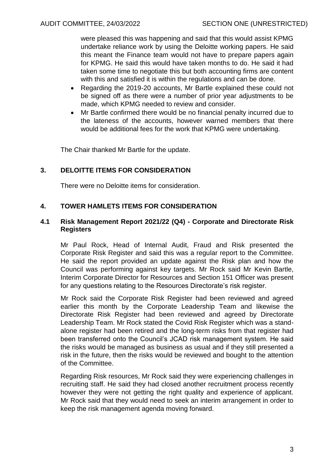were pleased this was happening and said that this would assist KPMG undertake reliance work by using the Deloitte working papers. He said this meant the Finance team would not have to prepare papers again for KPMG. He said this would have taken months to do. He said it had taken some time to negotiate this but both accounting firms are content with this and satisfied it is within the regulations and can be done.

- Regarding the 2019-20 accounts, Mr Bartle explained these could not be signed off as there were a number of prior year adjustments to be made, which KPMG needed to review and consider.
- Mr Bartle confirmed there would be no financial penalty incurred due to the lateness of the accounts, however warned members that there would be additional fees for the work that KPMG were undertaking.

The Chair thanked Mr Bartle for the update.

## **3. DELOITTE ITEMS FOR CONSIDERATION**

There were no Deloitte items for consideration.

## **4. TOWER HAMLETS ITEMS FOR CONSIDERATION**

#### **4.1 Risk Management Report 2021/22 (Q4) - Corporate and Directorate Risk Registers**

Mr Paul Rock, Head of Internal Audit, Fraud and Risk presented the Corporate Risk Register and said this was a regular report to the Committee. He said the report provided an update against the Risk plan and how the Council was performing against key targets. Mr Rock said Mr Kevin Bartle, Interim Corporate Director for Resources and Section 151 Officer was present for any questions relating to the Resources Directorate's risk register.

Mr Rock said the Corporate Risk Register had been reviewed and agreed earlier this month by the Corporate Leadership Team and likewise the Directorate Risk Register had been reviewed and agreed by Directorate Leadership Team. Mr Rock stated the Covid Risk Register which was a standalone register had been retired and the long-term risks from that register had been transferred onto the Council's JCAD risk management system. He said the risks would be managed as business as usual and if they still presented a risk in the future, then the risks would be reviewed and bought to the attention of the Committee.

Regarding Risk resources, Mr Rock said they were experiencing challenges in recruiting staff. He said they had closed another recruitment process recently however they were not getting the right quality and experience of applicant. Mr Rock said that they would need to seek an interim arrangement in order to keep the risk management agenda moving forward.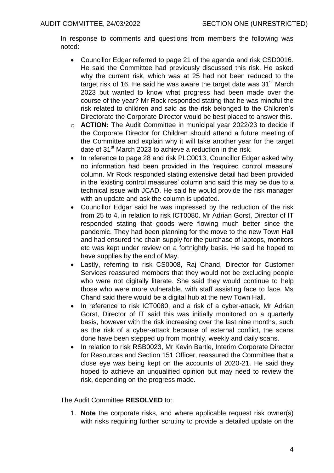In response to comments and questions from members the following was noted:

- Councillor Edgar referred to page 21 of the agenda and risk CSD0016. He said the Committee had previously discussed this risk. He asked why the current risk, which was at 25 had not been reduced to the target risk of 16. He said he was aware the target date was 31<sup>st</sup> March 2023 but wanted to know what progress had been made over the course of the year? Mr Rock responded stating that he was mindful the risk related to children and said as the risk belonged to the Children's Directorate the Corporate Director would be best placed to answer this.
- o **ACTION:** The Audit Committee in municipal year 2022/23 to decide if the Corporate Director for Children should attend a future meeting of the Committee and explain why it will take another year for the target date of 31<sup>st</sup> March 2023 to achieve a reduction in the risk.
- In reference to page 28 and risk PLC0013, Councillor Edgar asked why no information had been provided in the 'required control measure' column. Mr Rock responded stating extensive detail had been provided in the 'existing control measures' column and said this may be due to a technical issue with JCAD. He said he would provide the risk manager with an update and ask the column is updated.
- Councillor Edgar said he was impressed by the reduction of the risk from 25 to 4, in relation to risk ICT0080. Mr Adrian Gorst, Director of IT responded stating that goods were flowing much better since the pandemic. They had been planning for the move to the new Town Hall and had ensured the chain supply for the purchase of laptops, monitors etc was kept under review on a fortnightly basis. He said he hoped to have supplies by the end of May.
- Lastly, referring to risk CS0008, Raj Chand, Director for Customer Services reassured members that they would not be excluding people who were not digitally literate. She said they would continue to help those who were more vulnerable, with staff assisting face to face. Ms Chand said there would be a digital hub at the new Town Hall.
- In reference to risk ICT0080, and a risk of a cyber-attack, Mr Adrian Gorst, Director of IT said this was initially monitored on a quarterly basis, however with the risk increasing over the last nine months, such as the risk of a cyber-attack because of external conflict, the scans done have been stepped up from monthly, weekly and daily scans.
- In relation to risk RSB0023, Mr Kevin Bartle, Interim Corporate Director for Resources and Section 151 Officer, reassured the Committee that a close eye was being kept on the accounts of 2020-21. He said they hoped to achieve an unqualified opinion but may need to review the risk, depending on the progress made.

### The Audit Committee **RESOLVED** to:

1. **Note** the corporate risks, and where applicable request risk owner(s) with risks requiring further scrutiny to provide a detailed update on the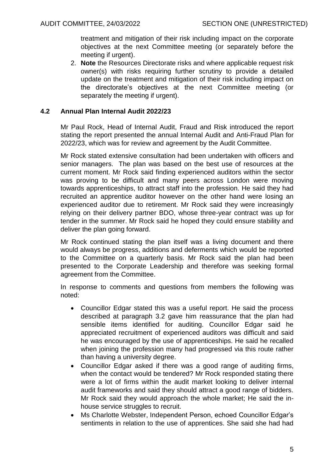treatment and mitigation of their risk including impact on the corporate objectives at the next Committee meeting (or separately before the meeting if urgent).

2. **Note** the Resources Directorate risks and where applicable request risk owner(s) with risks requiring further scrutiny to provide a detailed update on the treatment and mitigation of their risk including impact on the directorate's objectives at the next Committee meeting (or separately the meeting if urgent).

### **4.2 Annual Plan Internal Audit 2022/23**

Mr Paul Rock, Head of Internal Audit, Fraud and Risk introduced the report stating the report presented the annual Internal Audit and Anti-Fraud Plan for 2022/23, which was for review and agreement by the Audit Committee.

Mr Rock stated extensive consultation had been undertaken with officers and senior managers. The plan was based on the best use of resources at the current moment. Mr Rock said finding experienced auditors within the sector was proving to be difficult and many peers across London were moving towards apprenticeships, to attract staff into the profession. He said they had recruited an apprentice auditor however on the other hand were losing an experienced auditor due to retirement. Mr Rock said they were increasingly relying on their delivery partner BDO, whose three-year contract was up for tender in the summer. Mr Rock said he hoped they could ensure stability and deliver the plan going forward.

Mr Rock continued stating the plan itself was a living document and there would always be progress, additions and deferments which would be reported to the Committee on a quarterly basis. Mr Rock said the plan had been presented to the Corporate Leadership and therefore was seeking formal agreement from the Committee.

In response to comments and questions from members the following was noted:

- Councillor Edgar stated this was a useful report. He said the process described at paragraph 3.2 gave him reassurance that the plan had sensible items identified for auditing. Councillor Edgar said he appreciated recruitment of experienced auditors was difficult and said he was encouraged by the use of apprenticeships. He said he recalled when joining the profession many had progressed via this route rather than having a university degree.
- Councillor Edgar asked if there was a good range of auditing firms, when the contact would be tendered? Mr Rock responded stating there were a lot of firms within the audit market looking to deliver internal audit frameworks and said they should attract a good range of bidders. Mr Rock said they would approach the whole market; He said the inhouse service struggles to recruit.
- Ms Charlotte Webster, Independent Person, echoed Councillor Edgar's sentiments in relation to the use of apprentices. She said she had had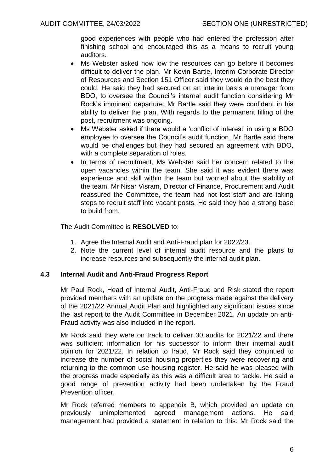good experiences with people who had entered the profession after finishing school and encouraged this as a means to recruit young auditors.

- Ms Webster asked how low the resources can go before it becomes difficult to deliver the plan. Mr Kevin Bartle, Interim Corporate Director of Resources and Section 151 Officer said they would do the best they could. He said they had secured on an interim basis a manager from BDO, to oversee the Council's internal audit function considering Mr Rock's imminent departure. Mr Bartle said they were confident in his ability to deliver the plan. With regards to the permanent filling of the post, recruitment was ongoing.
- Ms Webster asked if there would a 'conflict of interest' in using a BDO employee to oversee the Council's audit function. Mr Bartle said there would be challenges but they had secured an agreement with BDO, with a complete separation of roles.
- In terms of recruitment, Ms Webster said her concern related to the open vacancies within the team. She said it was evident there was experience and skill within the team but worried about the stability of the team. Mr Nisar Visram, Director of Finance, Procurement and Audit reassured the Committee, the team had not lost staff and are taking steps to recruit staff into vacant posts. He said they had a strong base to build from.

The Audit Committee is **RESOLVED** to:

- 1. Agree the Internal Audit and Anti-Fraud plan for 2022/23.
- 2. Note the current level of internal audit resource and the plans to increase resources and subsequently the internal audit plan.

### **4.3 Internal Audit and Anti-Fraud Progress Report**

Mr Paul Rock, Head of Internal Audit, Anti-Fraud and Risk stated the report provided members with an update on the progress made against the delivery of the 2021/22 Annual Audit Plan and highlighted any significant issues since the last report to the Audit Committee in December 2021. An update on anti-Fraud activity was also included in the report.

Mr Rock said they were on track to deliver 30 audits for 2021/22 and there was sufficient information for his successor to inform their internal audit opinion for 2021/22. In relation to fraud, Mr Rock said they continued to increase the number of social housing properties they were recovering and returning to the common use housing register. He said he was pleased with the progress made especially as this was a difficult area to tackle. He said a good range of prevention activity had been undertaken by the Fraud Prevention officer.

Mr Rock referred members to appendix B, which provided an update on previously unimplemented agreed management actions. He said management had provided a statement in relation to this. Mr Rock said the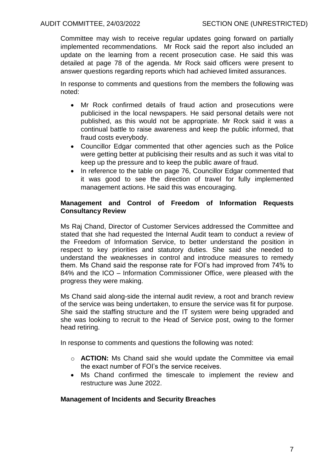Committee may wish to receive regular updates going forward on partially implemented recommendations. Mr Rock said the report also included an update on the learning from a recent prosecution case. He said this was detailed at page 78 of the agenda. Mr Rock said officers were present to answer questions regarding reports which had achieved limited assurances.

In response to comments and questions from the members the following was noted:

- Mr Rock confirmed details of fraud action and prosecutions were publicised in the local newspapers. He said personal details were not published, as this would not be appropriate. Mr Rock said it was a continual battle to raise awareness and keep the public informed, that fraud costs everybody.
- Councillor Edgar commented that other agencies such as the Police were getting better at publicising their results and as such it was vital to keep up the pressure and to keep the public aware of fraud.
- In reference to the table on page 76, Councillor Edgar commented that it was good to see the direction of travel for fully implemented management actions. He said this was encouraging.

# **Management and Control of Freedom of Information Requests Consultancy Review**

Ms Raj Chand, Director of Customer Services addressed the Committee and stated that she had requested the Internal Audit team to conduct a review of the Freedom of Information Service, to better understand the position in respect to key priorities and statutory duties. She said she needed to understand the weaknesses in control and introduce measures to remedy them. Ms Chand said the response rate for FOI's had improved from 74% to 84% and the ICO – Information Commissioner Office, were pleased with the progress they were making.

Ms Chand said along-side the internal audit review, a root and branch review of the service was being undertaken, to ensure the service was fit for purpose. She said the staffing structure and the IT system were being upgraded and she was looking to recruit to the Head of Service post, owing to the former head retiring.

In response to comments and questions the following was noted:

- o **ACTION:** Ms Chand said she would update the Committee via email the exact number of FOI's the service receives.
- Ms Chand confirmed the timescale to implement the review and restructure was June 2022.

### **Management of Incidents and Security Breaches**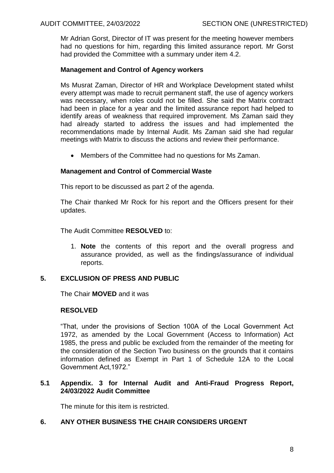Mr Adrian Gorst, Director of IT was present for the meeting however members had no questions for him, regarding this limited assurance report. Mr Gorst had provided the Committee with a summary under item 4.2.

### **Management and Control of Agency workers**

Ms Musrat Zaman, Director of HR and Workplace Development stated whilst every attempt was made to recruit permanent staff, the use of agency workers was necessary, when roles could not be filled. She said the Matrix contract had been in place for a year and the limited assurance report had helped to identify areas of weakness that required improvement. Ms Zaman said they had already started to address the issues and had implemented the recommendations made by Internal Audit. Ms Zaman said she had regular meetings with Matrix to discuss the actions and review their performance.

Members of the Committee had no questions for Ms Zaman.

## **Management and Control of Commercial Waste**

This report to be discussed as part 2 of the agenda.

The Chair thanked Mr Rock for his report and the Officers present for their updates.

The Audit Committee **RESOLVED** to:

1. **Note** the contents of this report and the overall progress and assurance provided, as well as the findings/assurance of individual reports.

### **5. EXCLUSION OF PRESS AND PUBLIC**

The Chair **MOVED** and it was

### **RESOLVED**

"That, under the provisions of Section 100A of the Local Government Act 1972, as amended by the Local Government (Access to Information) Act 1985, the press and public be excluded from the remainder of the meeting for the consideration of the Section Two business on the grounds that it contains information defined as Exempt in Part 1 of Schedule 12A to the Local Government Act,1972."

## **5.1 Appendix. 3 for Internal Audit and Anti-Fraud Progress Report, 24/03/2022 Audit Committee**

The minute for this item is restricted.

# **6. ANY OTHER BUSINESS THE CHAIR CONSIDERS URGENT**